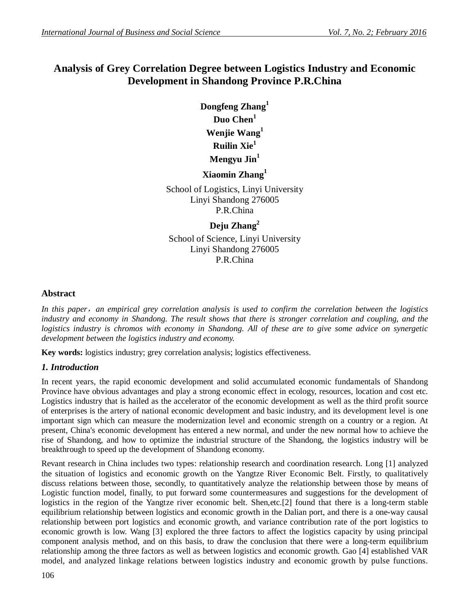# **Analysis of Grey Correlation Degree between Logistics Industry and Economic Development in Shandong Province P.R.China**

**Dongfeng Zhang<sup>1</sup> Duo Chen<sup>1</sup> Wenjie Wang<sup>1</sup> Ruilin Xie<sup>1</sup> Mengyu Jin<sup>1</sup>**

## **Xiaomin Zhang<sup>1</sup>**

School of Logistics, Linyi University Linyi Shandong 276005 P.R.China

## **Deju Zhang<sup>2</sup>**

School of Science, Linyi University Linyi Shandong 276005 P.R.China

### **Abstract**

*In this paper,an empirical grey correlation analysis is used to confirm the correlation between the logistics industry and economy in Shandong. The result shows that there is stronger correlation and coupling, and the logistics industry is chromos with economy in Shandong. All of these are to give some advice on synergetic development between the logistics industry and economy.*

**Key words:** logistics industry; grey correlation analysis; logistics effectiveness.

### *1. Introduction*

In recent years, the rapid economic development and solid accumulated economic fundamentals of Shandong Province have obvious advantages and play a strong economic effect in ecology, resources, location and cost etc. Logistics industry that is hailed as the accelerator of the economic development as well as the third profit source of enterprises is the artery of national economic development and basic industry, and its development level is one important sign which can measure the modernization level and economic strength on a country or a region. At present, China's economic development has entered a new normal, and under the new normal how to achieve the rise of Shandong, and how to optimize the industrial structure of the Shandong, the logistics industry will be breakthrough to speed up the development of Shandong economy.

Revant research in China includes two types: relationship research and coordination research. Long [1] analyzed the situation of logistics and economic growth on the Yangtze River Economic Belt. Firstly, to qualitatively discuss relations between those, secondly, to quantitatively analyze the relationship between those by means of Logistic function model, finally, to put forward some countermeasures and suggestions for the development of logistics in the region of the Yangtze river economic belt. Shen,etc.[2] found that there is a long-term stable equilibrium relationship between logistics and economic growth in the Dalian port, and there is a one-way causal relationship between port logistics and economic growth, and variance contribution rate of the port logistics to economic growth is low. Wang [3] explored the three factors to affect the logistics capacity by using principal component analysis method, and on this basis, to draw the conclusion that there were a long-term equilibrium relationship among the three factors as well as between logistics and economic growth. Gao [4] established VAR model, and analyzed linkage relations between logistics industry and economic growth by pulse functions.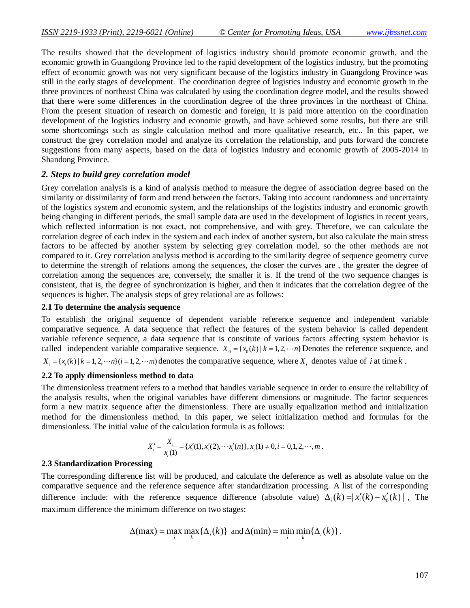The results showed that the development of logistics industry should promote economic growth, and the economic growth in Guangdong Province led to the rapid development of the logistics industry, but the promoting effect of economic growth was not very significant because of the logistics industry in Guangdong Province was still in the early stages of development. The coordination degree of logistics industry and economic growth in the three provinces of northeast China was calculated by using the coordination degree model, and the results showed that there were some differences in the coordination degree of the three provinces in the northeast of China. From the present situation of research on domestic and foreign, It is paid more attention on the coordination development of the logistics industry and economic growth, and have achieved some results, but there are still some shortcomings such as single calculation method and more qualitative research, etc.. In this paper, we construct the grey correlation model and analyze its correlation the relationship, and puts forward the concrete suggestions from many aspects, based on the data of logistics industry and economic growth of 2005-2014 in Shandong Province.

#### *2. Steps to build grey correlation model*

Grey correlation analysis is a kind of analysis method to measure the degree of association degree based on the similarity or dissimilarity of form and trend between the factors. Taking into account randomness and uncertainty of the logistics system and economic system, and the relationships of the logistics industry and economic growth being changing in different periods, the small sample data are used in the development of logistics in recent years, which reflected information is not exact, not comprehensive, and with grey. Therefore, we can calculate the correlation degree of each index in the system and each index of another system, but also calculate the main stress factors to be affected by another system by selecting grey correlation model, so the other methods are not compared to it. Grey correlation analysis method is according to the similarity degree of sequence geometry curve to determine the strength of relations among the sequences, the closer the curves are , the greater the degree of correlation among the sequences are, conversely, the smaller it is. If the trend of the two sequence changes is consistent, that is, the degree of synchronization is higher, and then it indicates that the correlation degree of the sequences is higher. The analysis steps of grey relational are as follows:

#### **2.1 To determine the analysis sequence**

To establish the original sequence of dependent variable reference sequence and independent variable comparative sequence. A data sequence that reflect the features of the system behavior is called dependent variable reference sequence, a data sequence that is constitute of various factors affecting system behavior is called independent variable comparative sequence.  $X_0 = \{x_0(k) | k = 1, 2, \dots n\}$  Denotes the reference sequence, and  ${X_i} = {x_i(k) | k = 1,2, \cdots n}(i = 1,2, \cdots m)$  denotes the comparative sequence, where  ${X_i}$  denotes value of *i* at time *k*.

#### **2.2 To apply dimensionless method to data**

The dimensionless treatment refers to a method that handles variable sequence in order to ensure the reliability of the analysis results, when the original variables have different dimensions or magnitude. The factor sequences form a new matrix sequence after the dimensionless. There are usually equalization method and initialization method for the dimensionless method. In this paper, we select initialization method and formulas for the dimensionless. The initial value of the calculation formula is as follows:

$$
X'_{i} = \frac{X_{i}}{x_{i}(1)} = \{x'_{i}(1), x'_{i}(2), \cdots x'_{i}(n)\}, x_{i}(1) \neq 0, i = 0, 1, 2, \cdots, m.
$$

#### **2**.**3 Standardization Processing**

The corresponding difference list will be produced, and calculate the deference as well as absolute value on the comparative sequence and the reference sequence after standardization processing. A list of the corresponding difference include: with the reference sequence difference (absolute value)  $\Delta_i(k) = |x'_i(k) - x'_0(k)|$ , The maximum difference the minimum difference on two stages:

$$
\Delta(\max) = \max_{i} \max_{k} \{ \Delta_i(k) \} \text{ and } \Delta(\min) = \min_{i} \min_{k} \{ \Delta_i(k) \}.
$$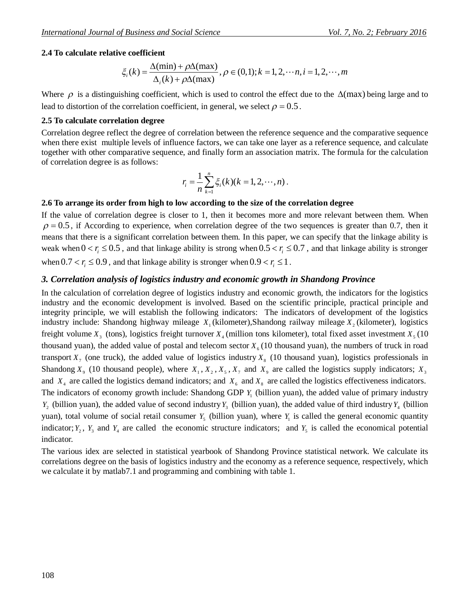#### **2.4 To calculate relative coefficient**

$$
\xi_i(k) = \frac{\Delta(\min) + \rho \Delta(\max)}{\Delta_i(k) + \rho \Delta(\max)}, \rho \in (0,1); k = 1, 2, \cdots, n, i = 1, 2, \cdots, m
$$

Where  $\rho$  is a distinguishing coefficient, which is used to control the effect due to the  $\Delta$ (max) being large and to lead to distortion of the correlation coefficient, in general, we select  $\rho = 0.5$ .

#### **2.5 To calculate correlation degree**

Correlation degree reflect the degree of correlation between the reference sequence and the comparative sequence when there exist multiple levels of influence factors, we can take one layer as a reference sequence, and calculate together with other comparative sequence, and finally form an association matrix. The formula for the calculation of correlation degree is as follows:

$$
r_i = \frac{1}{n} \sum_{k=1}^n \xi_i(k)(k = 1, 2, \cdots, n).
$$

#### **2.6 To arrange its order from high to low according to the size of the correlation degree**

If the value of correlation degree is closer to 1, then it becomes more and more relevant between them. When  $\rho = 0.5$ , if According to experience, when correlation degree of the two sequences is greater than 0.7, then it means that there is a significant correlation between them. In this paper, we can specify that the linkage ability is weak when  $0 < r_i \leq 0.5$ , and that linkage ability is strong when  $0.5 < r_i \leq 0.7$ , and that linkage ability is stronger when  $0.7 < r_i \leq 0.9$ , and that linkage ability is stronger when  $0.9 < r_i \leq 1$ .

#### *3. Correlation analysis of logistics industry and economic growth in Shandong Province*

In the calculation of correlation degree of logistics industry and economic growth, the indicators for the logistics industry and the economic development is involved. Based on the scientific principle, practical principle and integrity principle, we will establish the following indicators: The indicators of development of the logistics industry include: Shandong highway mileage *X*<sub>1</sub>(kilometer),Shandong railway mileage *X*<sub>2</sub>(kilometer), logistics freight volume  $X_3$  (tons), logistics freight turnover  $X_4$  (million tons kilometer), total fixed asset investment  $X_5$  (10 thousand yuan), the added value of postal and telecom sector  $X_6$  (10 thousand yuan), the numbers of truck in road transport  $X_7$  (one truck), the added value of logistics industry  $X_8$  (10 thousand yuan), logistics professionals in Shandong  $X_9$  (10 thousand people), where  $X_1, X_2, X_5, X_7$  and  $X_9$  are called the logistics supply indicators;  $X_3$ and  $X_4$  are called the logistics demand indicators; and  $X_6$  and  $X_8$  are called the logistics effectiveness indicators. The indicators of economy growth include: Shandong GDP  $Y_1$  (billion yuan), the added value of primary industry  $Y_2$  (billion yuan), the added value of second industry  $Y_3$  (billion yuan), the added value of third industry  $Y_4$  (billion

yuan), total volume of social retail consumer  $Y_5$  (billion yuan), where  $Y_1$  is called the general economic quantity indicator;  $Y_2$ ,  $Y_3$  and  $Y_4$  are called the economic structure indicators; and  $Y_5$  is called the economical potential indicator.

The various idex are selected in statistical yearbook of Shandong Province statistical network. We calculate its correlations degree on the basis of logistics industry and the economy as a reference sequence, respectively, which we calculate it by matlab7.1 and programming and combining with table 1.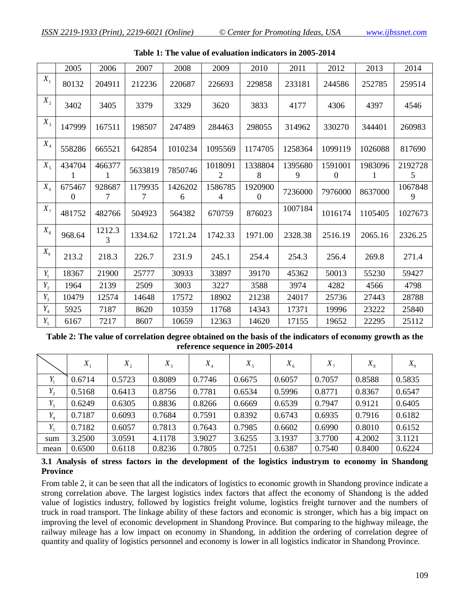|             | 2005               | 2006        | 2007         | 2008         | 2009                      | 2010                | 2011         | 2012                    | 2013         | 2014         |
|-------------|--------------------|-------------|--------------|--------------|---------------------------|---------------------|--------------|-------------------------|--------------|--------------|
| $X_1$       | 80132              | 204911      | 212236       | 220687       | 226693                    | 229858              | 233181       | 244586                  | 252785       | 259514       |
| $X_{2}$     | 3402               | 3405        | 3379         | 3329         | 3620                      | 3833                | 4177         | 4306                    | 4397         | 4546         |
| $X_3$       | 147999             | 167511      | 198507       | 247489       | 284463                    | 298055              | 314962       | 330270                  | 344401       | 260983       |
| $X_4$       | 558286             | 665521      | 642854       | 1010234      | 1095569                   | 1174705             | 1258364      | 1099119                 | 1026088      | 817690       |
| $X_5$       | 434704             | 466377<br>1 | 5633819      | 7850746      | 1018091<br>2              | 1338804<br>8        | 1395680<br>9 | 1591001<br>$\mathbf{0}$ | 1983096<br>1 | 2192728<br>5 |
| $X_{6}$     | 675467<br>$\Omega$ | 928687<br>7 | 1179935<br>7 | 1426202<br>6 | 1586785<br>$\overline{4}$ | 1920900<br>$\theta$ | 7236000      | 7976000                 | 8637000      | 1067848<br>9 |
| $X_7$       | 481752             | 482766      | 504923       | 564382       | 670759                    | 876023              | 1007184      | 1016174                 | 1105405      | 1027673      |
| $X_{8}$     | 968.64             | 1212.3<br>3 | 1334.62      | 1721.24      | 1742.33                   | 1971.00             | 2328.38      | 2516.19                 | 2065.16      | 2326.25      |
| $X_{\rm o}$ | 213.2              | 218.3       | 226.7        | 231.9        | 245.1                     | 254.4               | 254.3        | 256.4                   | 269.8        | 271.4        |
| $Y_1$       | 18367              | 21900       | 25777        | 30933        | 33897                     | 39170               | 45362        | 50013                   | 55230        | 59427        |
| $Y_2$       | 1964               | 2139        | 2509         | 3003         | 3227                      | 3588                | 3974         | 4282                    | 4566         | 4798         |
| $Y_3$       | 10479              | 12574       | 14648        | 17572        | 18902                     | 21238               | 24017        | 25736                   | 27443        | 28788        |
| $Y_4$       | 5925               | 7187        | 8620         | 10359        | 11768                     | 14343               | 17371        | 19996                   | 23222        | 25840        |
| $Y_5$       | 6167               | 7217        | 8607         | 10659        | 12363                     | 14620               | 17155        | 19652                   | 22295        | 25112        |

| Table 1: The value of evaluation indicators in 2005-2014 |  |  |  |
|----------------------------------------------------------|--|--|--|
|----------------------------------------------------------|--|--|--|

**Table 2: The value of correlation degree obtained on the basis of the indicators of economy growth as the reference sequence in 2005-2014**

|       | $X_{1}$ | $X_{2}$ | $X_{3}$ | $X_{\scriptscriptstyle A}$ | $X_{5}$ | $X_{6}$ | $X_{7}$ | $X_{8}$ | $X_{\rm q}$ |
|-------|---------|---------|---------|----------------------------|---------|---------|---------|---------|-------------|
| Y,    | 0.6714  | 0.5723  | 0.8089  | 0.7746                     | 0.6675  | 0.6057  | 0.7057  | 0.8588  | 0.5835      |
| $Y_2$ | 0.5168  | 0.6413  | 0.8756  | 0.7781                     | 0.6534  | 0.5996  | 0.8771  | 0.8367  | 0.6547      |
| $Y_3$ | 0.6249  | 0.6305  | 0.8836  | 0.8266                     | 0.6669  | 0.6539  | 0.7947  | 0.9121  | 0.6405      |
| $Y_4$ | 0.7187  | 0.6093  | 0.7684  | 0.7591                     | 0.8392  | 0.6743  | 0.6935  | 0.7916  | 0.6182      |
| $Y_5$ | 0.7182  | 0.6057  | 0.7813  | 0.7643                     | 0.7985  | 0.6602  | 0.6990  | 0.8010  | 0.6152      |
| sum   | 3.2500  | 3.0591  | 4.1178  | 3.9027                     | 3.6255  | 3.1937  | 3.7700  | 4.2002  | 3.1121      |
| mean  | 0.6500  | 0.6118  | 0.8236  | 0.7805                     | 0.7251  | 0.6387  | 0.7540  | 0.8400  | 0.6224      |

**3.1 Analysis of stress factors in the development of the logistics industrym to economy in Shandong Province**

From table 2, it can be seen that all the indicators of logistics to economic growth in Shandong province indicate a strong correlation above. The largest logistics index factors that affect the economy of Shandong is the added value of logistics industry, followed by logistics freight volume, logistics freight turnover and the numbers of truck in road transport. The linkage ability of these factors and economic is stronger, which has a big impact on improving the level of economic development in Shandong Province. But comparing to the highway mileage, the railway mileage has a low impact on economy in Shandong, in addition the ordering of correlation degree of quantity and quality of logistics personnel and economy is lower in all logistics indicator in Shandong Province.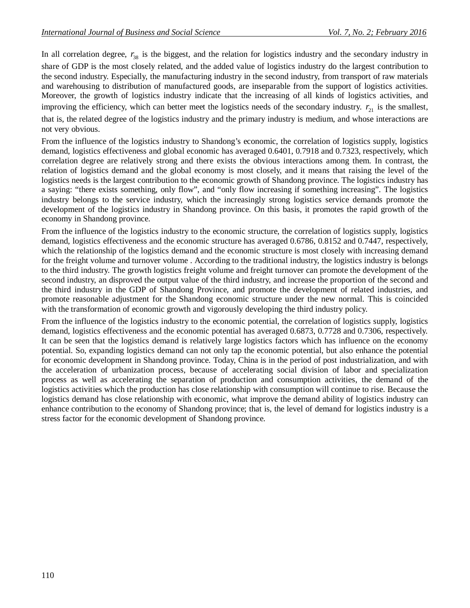In all correlation degree,  $r_{38}$  is the biggest, and the relation for logistics industry and the secondary industry in share of GDP is the most closely related, and the added value of logistics industry do the largest contribution to the second industry. Especially, the manufacturing industry in the second industry, from transport of raw materials and warehousing to distribution of manufactured goods, are inseparable from the support of logistics activities. Moreover, the growth of logistics industry indicate that the increasing of all kinds of logistics activities, and improving the efficiency, which can better meet the logistics needs of the secondary industry.  $r_{21}$  is the smallest, that is, the related degree of the logistics industry and the primary industry is medium, and whose interactions are not very obvious.

From the influence of the logistics industry to Shandong's economic, the correlation of logistics supply, logistics demand, logistics effectiveness and global economic has averaged 0.6401, 0.7918 and 0.7323, respectively, which correlation degree are relatively strong and there exists the obvious interactions among them. In contrast, the relation of logistics demand and the global economy is most closely, and it means that raising the level of the logistics needs is the largest contribution to the economic growth of Shandong province. The logistics industry has a saying: "there exists something, only flow", and "only flow increasing if something increasing". The logistics industry belongs to the service industry, which the increasingly strong logistics service demands promote the development of the logistics industry in Shandong province. On this basis, it promotes the rapid growth of the economy in Shandong province.

From the influence of the logistics industry to the economic structure, the correlation of logistics supply, logistics demand, logistics effectiveness and the economic structure has averaged 0.6786, 0.8152 and 0.7447, respectively, which the relationship of the logistics demand and the economic structure is most closely with increasing demand for the freight volume and turnover volume . According to the traditional industry, the logistics industry is belongs to the third industry. The growth logistics freight volume and freight turnover can promote the development of the second industry, an disproved the output value of the third industry, and increase the proportion of the second and the third industry in the GDP of Shandong Province, and promote the development of related industries, and promote reasonable adjustment for the Shandong economic structure under the new normal. This is coincided with the transformation of economic growth and vigorously developing the third industry policy.

From the influence of the logistics industry to the economic potential, the correlation of logistics supply, logistics demand, logistics effectiveness and the economic potential has averaged 0.6873, 0.7728 and 0.7306, respectively. It can be seen that the logistics demand is relatively large logistics factors which has influence on the economy potential. So, expanding logistics demand can not only tap the economic potential, but also enhance the potential for economic development in Shandong province. Today, China is in the period of post industrialization, and with the acceleration of urbanization process, because of accelerating social division of labor and specialization process as well as accelerating the separation of production and consumption activities, the demand of the logistics activities which the production has close relationship with consumption will continue to rise. Because the logistics demand has close relationship with economic, what improve the demand ability of logistics industry can enhance contribution to the economy of Shandong province; that is, the level of demand for logistics industry is a stress factor for the economic development of Shandong province.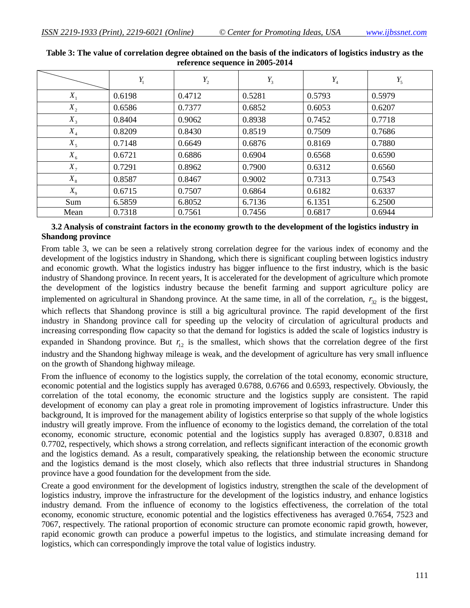|         | $Y_1$  | $Y_2$  | $Y_3$  | $Y_4$  | $Y_5$  |
|---------|--------|--------|--------|--------|--------|
| $X_1$   | 0.6198 | 0.4712 | 0.5281 | 0.5793 | 0.5979 |
| $X_{2}$ | 0.6586 | 0.7377 | 0.6852 | 0.6053 | 0.6207 |
| $X_3$   | 0.8404 | 0.9062 | 0.8938 | 0.7452 | 0.7718 |
| $X_4$   | 0.8209 | 0.8430 | 0.8519 | 0.7509 | 0.7686 |
| $X_5$   | 0.7148 | 0.6649 | 0.6876 | 0.8169 | 0.7880 |
| $X_{6}$ | 0.6721 | 0.6886 | 0.6904 | 0.6568 | 0.6590 |
| $X_7$   | 0.7291 | 0.8962 | 0.7900 | 0.6312 | 0.6560 |
| $X_{8}$ | 0.8587 | 0.8467 | 0.9002 | 0.7313 | 0.7543 |
| $X_{9}$ | 0.6715 | 0.7507 | 0.6864 | 0.6182 | 0.6337 |
| Sum     | 6.5859 | 6.8052 | 6.7136 | 6.1351 | 6.2500 |
| Mean    | 0.7318 | 0.7561 | 0.7456 | 0.6817 | 0.6944 |

**Table 3: The value of correlation degree obtained on the basis of the indicators of logistics industry as the reference sequence in 2005-2014**

#### **3.2 Analysis of constraint factors in the economy growth to the development of the logistics industry in Shandong province**

From table 3, we can be seen a relatively strong correlation degree for the various index of economy and the development of the logistics industry in Shandong, which there is significant coupling between logistics industry and economic growth. What the logistics industry has bigger influence to the first industry, which is the basic industry of Shandong province. In recent years, It is accelerated for the development of agriculture which promote the development of the logistics industry because the benefit farming and support agriculture policy are implemented on agricultural in Shandong province. At the same time, in all of the correlation,  $r_{32}$  is the biggest, which reflects that Shandong province is still a big agricultural province. The rapid development of the first industry in Shandong province call for speeding up the velocity of circulation of agricultural products and increasing corresponding flow capacity so that the demand for logistics is added the scale of logistics industry is expanded in Shandong province. But  $r_{12}$  is the smallest, which shows that the correlation degree of the first industry and the Shandong highway mileage is weak, and the development of agriculture has very small influence on the growth of Shandong highway mileage.

From the influence of economy to the logistics supply, the correlation of the total economy, economic structure, economic potential and the logistics supply has averaged 0.6788, 0.6766 and 0.6593, respectively. Obviously, the correlation of the total economy, the economic structure and the logistics supply are consistent. The rapid development of economy can play a great role in promoting improvement of logistics infrastructure. Under this background, It is improved for the management ability of logistics enterprise so that supply of the whole logistics industry will greatly improve. From the influence of economy to the logistics demand, the correlation of the total economy, economic structure, economic potential and the logistics supply has averaged 0.8307, 0.8318 and 0.7702, respectively, which shows a strong correlation, and reflects significant interaction of the economic growth and the logistics demand. As a result, comparatively speaking, the relationship between the economic structure and the logistics demand is the most closely, which also reflects that three industrial structures in Shandong province have a good foundation for the development from the side.

Create a good environment for the development of logistics industry, strengthen the scale of the development of logistics industry, improve the infrastructure for the development of the logistics industry, and enhance logistics industry demand. From the influence of economy to the logistics effectiveness, the correlation of the total economy, economic structure, economic potential and the logistics effectiveness has averaged 0.7654, 7523 and 7067, respectively. The rational proportion of economic structure can promote economic rapid growth, however, rapid economic growth can produce a powerful impetus to the logistics, and stimulate increasing demand for logistics, which can correspondingly improve the total value of logistics industry.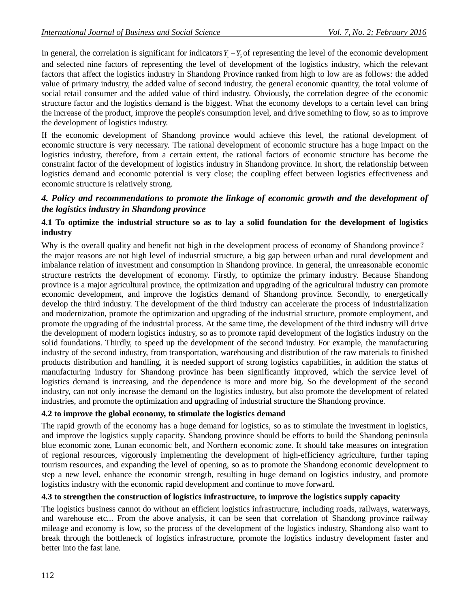In general, the correlation is significant for indicators  $Y_1 - Y_5$  of representing the level of the economic development and selected nine factors of representing the level of development of the logistics industry, which the relevant factors that affect the logistics industry in Shandong Province ranked from high to low are as follows: the added value of primary industry, the added value of second industry, the general economic quantity, the total volume of social retail consumer and the added value of third industry. Obviously, the correlation degree of the economic structure factor and the logistics demand is the biggest. What the economy develops to a certain level can bring the increase of the product, improve the people's consumption level, and drive something to flow, so as to improve the development of logistics industry.

If the economic development of Shandong province would achieve this level, the rational development of economic structure is very necessary. The rational development of economic structure has a huge impact on the logistics industry, therefore, from a certain extent, the rational factors of economic structure has become the constraint factor of the development of logistics industry in Shandong province. In short, the relationship between logistics demand and economic potential is very close; the coupling effect between logistics effectiveness and economic structure is relatively strong.

### *4. Policy and recommendations to promote the linkage of economic growth and the development of the logistics industry in Shandong province*

### **4.1 To optimize the industrial structure so as to lay a solid foundation for the development of logistics industry**

Why is the overall quality and benefit not high in the development process of economy of Shandong province? the major reasons are not high level of industrial structure, a big gap between urban and rural development and imbalance relation of investment and consumption in Shandong province. In general, the unreasonable economic structure restricts the development of economy. Firstly, to optimize the primary industry. Because Shandong province is a major agricultural province, the optimization and upgrading of the agricultural industry can promote economic development, and improve the logistics demand of Shandong province. Secondly, to energetically develop the third industry. The development of the third industry can accelerate the process of industrialization and modernization, promote the optimization and upgrading of the industrial structure, promote employment, and promote the upgrading of the industrial process. At the same time, the development of the third industry will drive the development of modern logistics industry, so as to promote rapid development of the logistics industry on the solid foundations. Thirdly, to speed up the development of the second industry. For example, the manufacturing industry of the second industry, from transportation, warehousing and distribution of the raw materials to finished products distribution and handling, it is needed support of strong logistics capabilities, in addition the status of manufacturing industry for Shandong province has been significantly improved, which the service level of logistics demand is increasing, and the dependence is more and more big. So the development of the second industry, can not only increase the demand on the logistics industry, but also promote the development of related industries, and promote the optimization and upgrading of industrial structure the Shandong province.

### **4.2 to improve the global economy, to stimulate the logistics demand**

The rapid growth of the economy has a huge demand for logistics, so as to stimulate the investment in logistics, and improve the logistics supply capacity. Shandong province should be efforts to build the Shandong peninsula blue economic zone, Lunan economic belt, and Northern economic zone. It should take measures on integration of regional resources, vigorously implementing the development of high-efficiency agriculture, further taping tourism resources, and expanding the level of opening, so as to promote the Shandong economic development to step a new level, enhance the economic strength, resulting in huge demand on logistics industry, and promote logistics industry with the economic rapid development and continue to move forward.

### **4.3 to strengthen the construction of logistics infrastructure, to improve the logistics supply capacity**

The logistics business cannot do without an efficient logistics infrastructure, including roads, railways, waterways, and warehouse etc... From the above analysis, it can be seen that correlation of Shandong province railway mileage and economy is low, so the process of the development of the logistics industry, Shandong also want to break through the bottleneck of logistics infrastructure, promote the logistics industry development faster and better into the fast lane.